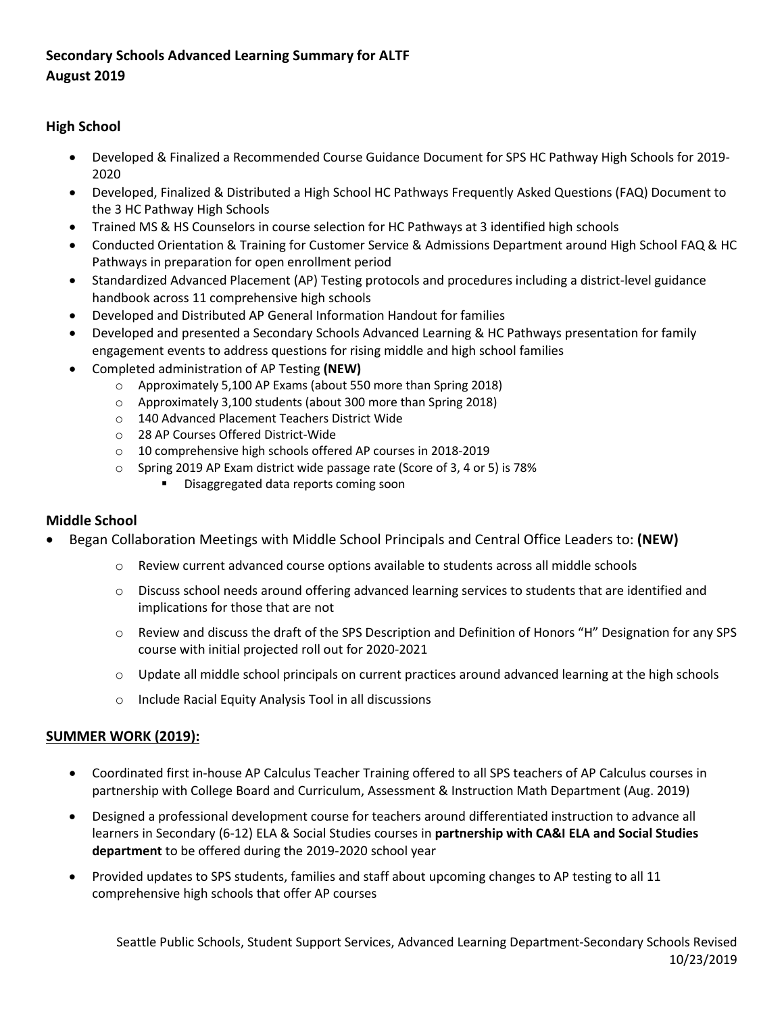## Secondary Schools Advanced Learning Summary for ALTF<br>August 2019 **August 2019**

## **High School**

- 2020 • Developed & Finalized a Recommended Course Guidance Document for SPS HC Pathway High Schools for 2019-
- • Developed, Finalized & Distributed a High School HC Pathways Frequently Asked Questions (FAQ) Document to the 3 HC Pathway High Schools
- Trained MS & HS Counselors in course selection for HC Pathways at 3 identified high schools
- • Conducted Orientation & Training for Customer Service & Admissions Department around High School FAQ & HC Pathways in preparation for open enrollment period
- Standardized Advanced Placement (AP) Testing protocols and procedures including a district-level guidance handbook across 11 comprehensive high schools
- Developed and Distributed AP General Information Handout for families
- Developed and presented a Secondary Schools Advanced Learning & HC Pathways presentation for family engagement events to address questions for rising middle and high school families
- • Completed administration of AP Testing **(NEW)** 
	- o Approximately 5,100 AP Exams (about 550 more than Spring 2018)
	- o Approximately 3,100 students (about 300 more than Spring 2018)
	- o 140 Advanced Placement Teachers District Wide
	- o 28 AP Courses Offered District-Wide
	- o 10 comprehensive high schools offered AP courses in 2018-2019
	- o Spring 2019 AP Exam district wide passage rate (Score of 3, 4 or 5) is 78%
		- **Disaggregated data reports coming soon**

## **Middle School**

- Began Collaboration Meetings with Middle School Principals and Central Office Leaders to: **(NEW)** 
	- o Review current advanced course options available to students across all middle schools
	- $\circ$  Discuss school needs around offering advanced learning services to students that are identified and implications for those that are not
	- o Review and discuss the draft of the SPS Description and Definition of Honors "H" Designation for any SPS course with initial projected roll out for 2020-2021
	- o Update all middle school principals on current practices around advanced learning at the high schools
	- o Include Racial Equity Analysis Tool in all discussions

## **SUMMER WORK (2019):**

- • Coordinated first in-house AP Calculus Teacher Training offered to all SPS teachers of AP Calculus courses in partnership with College Board and Curriculum, Assessment & Instruction Math Department (Aug. 2019)
- **department** to be offered during the 2019-2020 school year • Designed a professional development course for teachers around differentiated instruction to advance all learners in Secondary (6-12) ELA & Social Studies courses in **partnership with CA&I ELA and Social Studies**
- • Provided updates to SPS students, families and staff about upcoming changes to AP testing to all 11 comprehensive high schools that offer AP courses